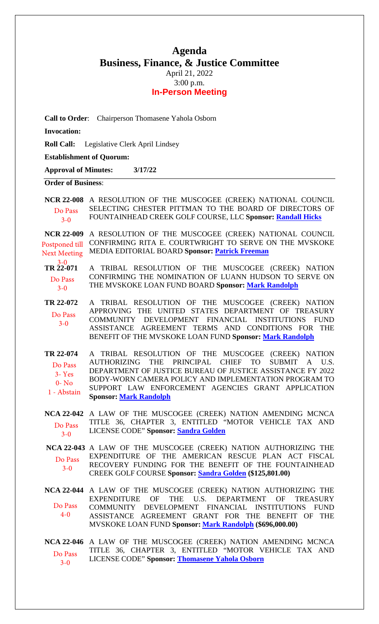## **Agenda Business, Finance, & Justice Committee** April 21, 2022 3:00 p.m.

## **In-Person Meeting**

| Call to Order: Chairperson Thomasene Yahola Osborn           |                                                                                                                                                                                                                                                                                                                                                                                                |
|--------------------------------------------------------------|------------------------------------------------------------------------------------------------------------------------------------------------------------------------------------------------------------------------------------------------------------------------------------------------------------------------------------------------------------------------------------------------|
| <b>Invocation:</b>                                           |                                                                                                                                                                                                                                                                                                                                                                                                |
| <b>Roll Call:</b>                                            | Legislative Clerk April Lindsey                                                                                                                                                                                                                                                                                                                                                                |
| <b>Establishment of Quorum:</b>                              |                                                                                                                                                                                                                                                                                                                                                                                                |
| <b>Approval of Minutes:</b>                                  | 3/17/22                                                                                                                                                                                                                                                                                                                                                                                        |
| <b>Order of Business:</b>                                    |                                                                                                                                                                                                                                                                                                                                                                                                |
| <b>NCR 22-008</b><br>Do Pass<br>$3 - 0$                      | A RESOLUTION OF THE MUSCOGEE (CREEK) NATIONAL COUNCIL<br>SELECTING CHESTER PITTMAN TO THE BOARD OF DIRECTORS OF<br>FOUNTAINHEAD CREEK GOLF COURSE, LLC Sponsor: Randall Hicks                                                                                                                                                                                                                  |
| <b>NCR 22-009</b><br>Postponed till<br><b>Next Meeting</b>   | A RESOLUTION OF THE MUSCOGEE (CREEK) NATIONAL COUNCIL<br>CONFIRMING RITA E. COURTWRIGHT TO SERVE ON THE MVSKOKE<br>MEDIA EDITORIAL BOARD Sponsor: Patrick Freeman                                                                                                                                                                                                                              |
| $TR\frac{3-0}{22-071}$<br>Do Pass<br>$3 - 0$                 | A TRIBAL RESOLUTION OF THE MUSCOGEE (CREEK) NATION<br>CONFIRMING THE NOMINATION OF LUANN HUDSON TO SERVE ON<br>THE MVSKOKE LOAN FUND BOARD Sponsor: Mark Randolph                                                                                                                                                                                                                              |
| TR 22-072<br>Do Pass<br>$3 - 0$                              | A TRIBAL RESOLUTION OF THE MUSCOGEE (CREEK) NATION<br>APPROVING THE UNITED STATES DEPARTMENT OF TREASURY<br>COMMUNITY DEVELOPMENT FINANCIAL INSTITUTIONS<br>FUND<br>ASSISTANCE AGREEMENT TERMS AND CONDITIONS FOR THE<br>BENEFIT OF THE MVSKOKE LOAN FUND Sponsor: Mark Randolph                                                                                                               |
| TR 22-074<br>Do Pass<br>$3 - Yes$<br>$0 - No$<br>1 - Abstain | A TRIBAL RESOLUTION OF THE MUSCOGEE (CREEK) NATION<br><b>AUTHORIZING</b><br><b>THE</b><br><b>PRINCIPAL</b><br><b>CHIEF</b><br><b>TO</b><br><b>SUBMIT</b><br>U.S.<br>$\mathsf{A}$<br>DEPARTMENT OF JUSTICE BUREAU OF JUSTICE ASSISTANCE FY 2022<br>BODY-WORN CAMERA POLICY AND IMPLEMENTATION PROGRAM TO<br>SUPPORT LAW ENFORCEMENT AGENCIES GRANT APPLICATION<br><b>Sponsor: Mark Randolph</b> |
| <b>NCA 22-042</b><br>Do Pass<br>$3 - 0$                      | A LAW OF THE MUSCOGEE (CREEK) NATION AMENDING MCNCA<br>TITLE 36, CHAPTER 3, ENTITLED "MOTOR VEHICLE TAX AND<br>LICENSE CODE" Sponsor: Sandra Golden                                                                                                                                                                                                                                            |
| Do Pass<br>$3 - 0$                                           | NCA 22-043 A LAW OF THE MUSCOGEE (CREEK) NATION AUTHORIZING THE<br>EXPENDITURE OF THE AMERICAN RESCUE PLAN ACT FISCAL<br>RECOVERY FUNDING FOR THE BENEFIT OF THE FOUNTAINHEAD<br><b>CREEK GOLF COURSE Sponsor: Sandra Golden (\$125,801.00)</b>                                                                                                                                                |
| Do Pass<br>$4-0$                                             | NCA 22-044 A LAW OF THE MUSCOGEE (CREEK) NATION AUTHORIZING THE<br>THE U.S. DEPARTMENT OF<br><b>EXPENDITURE</b><br><b>OF</b><br><b>TREASURY</b><br>COMMUNITY DEVELOPMENT FINANCIAL INSTITUTIONS<br>FUND<br>ASSISTANCE AGREEMENT GRANT FOR THE BENEFIT OF THE<br>MVSKOKE LOAN FUND Sponsor: Mark Randolph (\$696,000.00)                                                                        |
| <b>NCA 22-046</b><br>Do Pass<br>$3 - 0$                      | A LAW OF THE MUSCOGEE (CREEK) NATION AMENDING MCNCA<br>TITLE 36, CHAPTER 3, ENTITLED "MOTOR VEHICLE TAX AND<br>LICENSE CODE" Sponsor: Thomasene Yahola Osborn                                                                                                                                                                                                                                  |